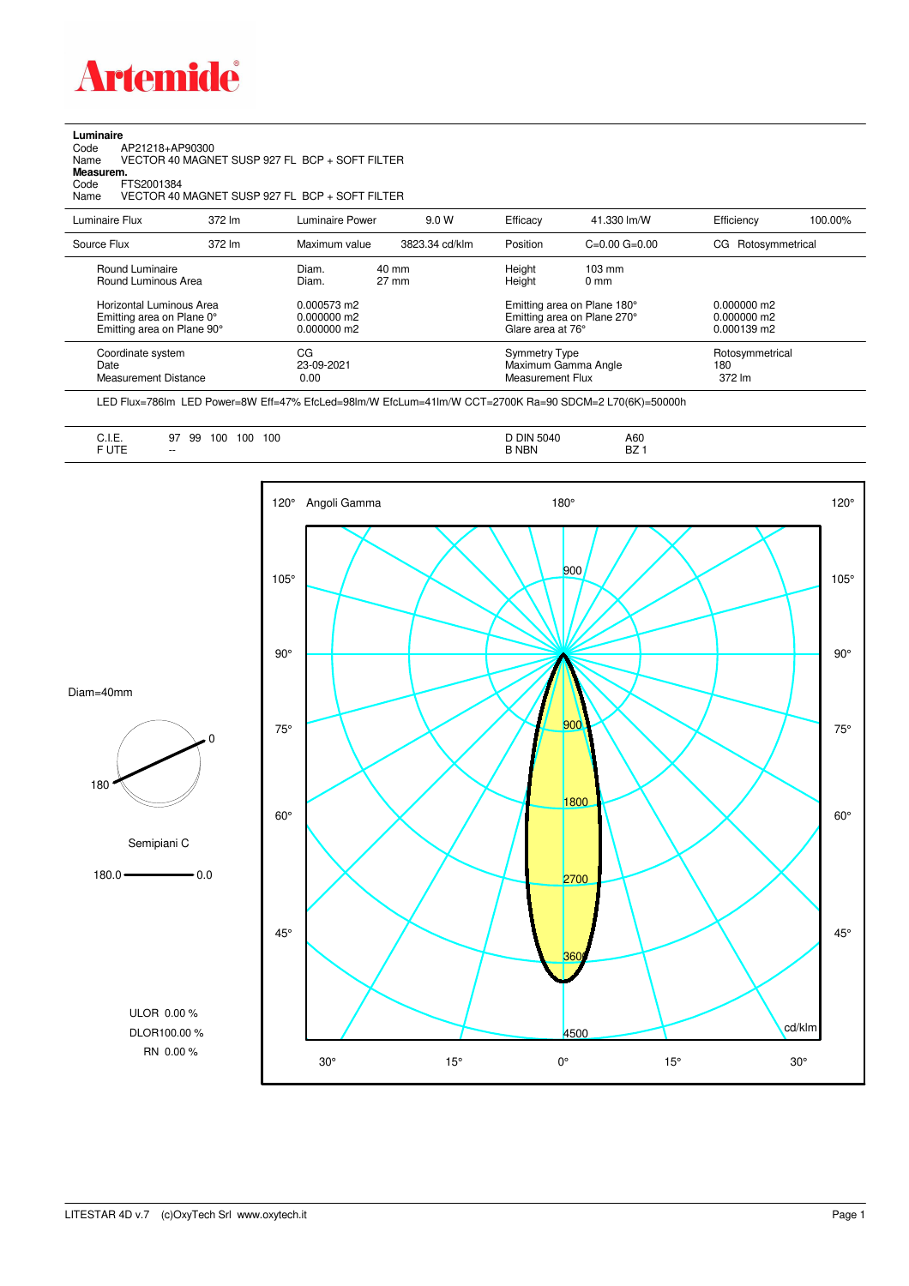

**Luminaire**

| Code<br>AP21218+AP90300<br>Name<br>Measurem.<br>Code<br>FTS2001384<br>Name          |        | VECTOR 40 MAGNET SUSP 927 FL BCP + SOFT FILTER<br>VECTOR 40 MAGNET SUSP 927 FL BCP + SOFT FILTER |                |                                                 |                                                            |                                               |         |
|-------------------------------------------------------------------------------------|--------|--------------------------------------------------------------------------------------------------|----------------|-------------------------------------------------|------------------------------------------------------------|-----------------------------------------------|---------|
| Luminaire Flux                                                                      | 372 lm | Luminaire Power                                                                                  | 9.0 W          | Efficacy                                        | 41.330 lm/W                                                | Efficiency                                    | 100.00% |
| Source Flux                                                                         | 372 lm | Maximum value                                                                                    | 3823.34 cd/klm | Position                                        | $C=0.00$ $G=0.00$                                          | CG Rotosymmetrical                            |         |
| Round Luminaire<br>Round Luminous Area                                              |        | $40 \text{ mm}$<br>Diam.<br>$27 \text{ mm}$<br>Diam.                                             |                | Height<br>Height                                | $103 \text{ mm}$<br>0 <sub>mm</sub>                        |                                               |         |
| Horizontal Luminous Area<br>Emitting area on Plane 0°<br>Emitting area on Plane 90° |        | 0.000573 m2<br>0.000000 m2<br>0.000000 m2                                                        |                | Glare area at 76°                               | Emitting area on Plane 180°<br>Emitting area on Plane 270° | $0.000000$ m2<br>$0.000000$ m2<br>0.000139 m2 |         |
| Coordinate system<br>Date<br><b>Measurement Distance</b>                            |        | CG<br>23-09-2021<br>0.00                                                                         |                | <b>Symmetry Type</b><br><b>Measurement Flux</b> | Maximum Gamma Angle                                        | Rotosymmetrical<br>180<br>372 lm              |         |

LED Flux=786lm LED Power=8W Eff=47% EfcLed=98lm/W EfcLum=41lm/W CCT=2700K Ra=90 SDCM=2 L70(6K)=50000h